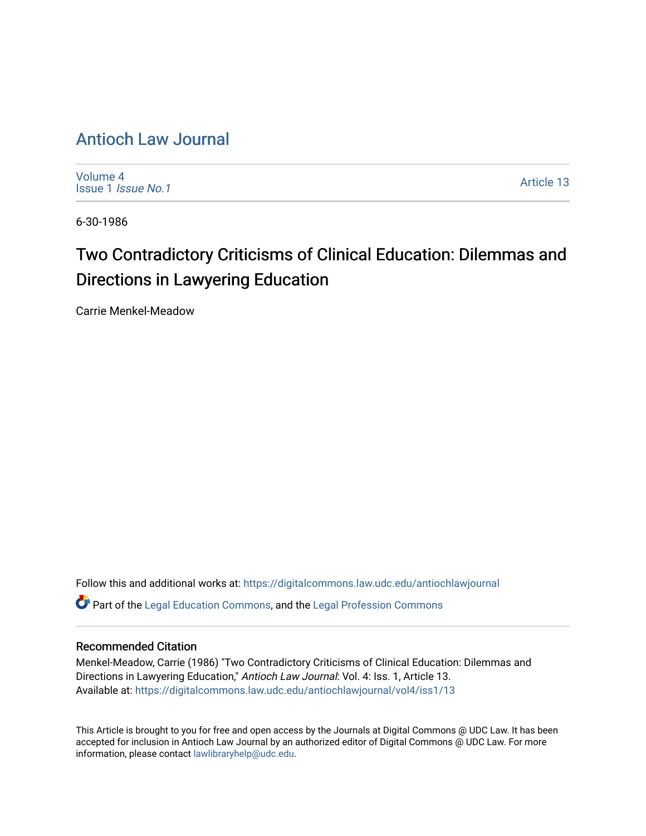## [Antioch Law Journal](https://digitalcommons.law.udc.edu/antiochlawjournal)

[Volume 4](https://digitalcommons.law.udc.edu/antiochlawjournal/vol4) [Issue 1](https://digitalcommons.law.udc.edu/antiochlawjournal/vol4/iss1) Issue No.1

[Article 13](https://digitalcommons.law.udc.edu/antiochlawjournal/vol4/iss1/13) 

6-30-1986

# Two Contradictory Criticisms of Clinical Education: Dilemmas and Directions in Lawyering Education

Carrie Menkel-Meadow

Follow this and additional works at: [https://digitalcommons.law.udc.edu/antiochlawjournal](https://digitalcommons.law.udc.edu/antiochlawjournal?utm_source=digitalcommons.law.udc.edu%2Fantiochlawjournal%2Fvol4%2Fiss1%2F13&utm_medium=PDF&utm_campaign=PDFCoverPages)  Part of the [Legal Education Commons,](http://network.bepress.com/hgg/discipline/857?utm_source=digitalcommons.law.udc.edu%2Fantiochlawjournal%2Fvol4%2Fiss1%2F13&utm_medium=PDF&utm_campaign=PDFCoverPages) and the [Legal Profession Commons](http://network.bepress.com/hgg/discipline/1075?utm_source=digitalcommons.law.udc.edu%2Fantiochlawjournal%2Fvol4%2Fiss1%2F13&utm_medium=PDF&utm_campaign=PDFCoverPages) 

### Recommended Citation

Menkel-Meadow, Carrie (1986) "Two Contradictory Criticisms of Clinical Education: Dilemmas and Directions in Lawyering Education," Antioch Law Journal: Vol. 4: Iss. 1, Article 13. Available at: [https://digitalcommons.law.udc.edu/antiochlawjournal/vol4/iss1/13](https://digitalcommons.law.udc.edu/antiochlawjournal/vol4/iss1/13?utm_source=digitalcommons.law.udc.edu%2Fantiochlawjournal%2Fvol4%2Fiss1%2F13&utm_medium=PDF&utm_campaign=PDFCoverPages) 

This Article is brought to you for free and open access by the Journals at Digital Commons @ UDC Law. It has been accepted for inclusion in Antioch Law Journal by an authorized editor of Digital Commons @ UDC Law. For more information, please contact [lawlibraryhelp@udc.edu.](mailto:lawlibraryhelp@udc.edu)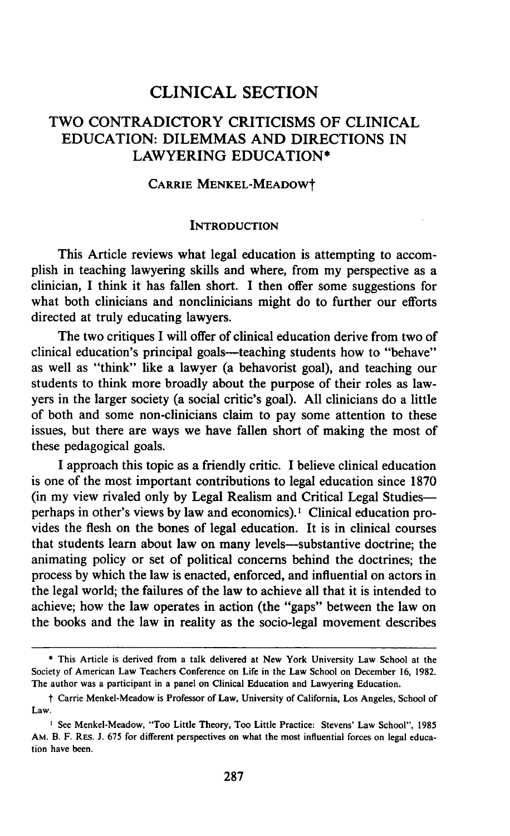## CLINICAL SECTION

## TWO CONTRADICTORY CRITICISMS OF CLINICAL EDUCATION: DILEMMAS AND DIRECTIONS IN LAWYERING EDUCATION\*

#### CARRIE MENKEL-MEADOWt

#### **INTRODUCTION**

This Article reviews what legal education is attempting to accomplish in teaching lawyering skills and where, from my perspective as a clinician, I think it has fallen short. **I** then offer some suggestions for what both clinicians and nonclinicians might do to further our efforts directed at truly educating lawyers.

The two critiques I will offer of clinical education derive from two of clinical education's principal goals-teaching students how to "behave" as well as "think" like a lawyer (a behavorist goal), and teaching our students to think more broadly about the purpose of their roles as lawyers in the larger society (a social critic's goal). **All** clinicians do a little of both and some non-clinicians claim to pay some attention to these issues, but there are ways we have fallen short of making the most of these pedagogical goals.

I approach this topic as a friendly critic. I believe clinical education is one of the most important contributions to legal education since **1870** (in my view rivaled only **by** Legal Realism and Critical Legal Studiesperhaps in other's views **by** law and economics).' Clinical education provides the flesh on the bones of legal education. It is in clinical courses that students learn about law on many levels-substantive doctrine; the animating policy or set of political concerns behind the doctrines; the process **by** which the law is enacted, enforced, and influential on actors in the legal world; the failures of the law to achieve all that it is intended to achieve; how the law operates in action (the "gaps" between the law on the books and the law in reality as the socio-legal movement describes

**<sup>\*</sup>** This Article is derived from a talk delivered at New York University Law School at the Society of American Law Teachers Conference on Life in the Law School on December **16, 1982.** The author was a participant in a panel on Clinical Education and Lawyering Education.

t Carrie Menkel-Meadow is Professor of Law, University of California, Los Angeles, School of Law.

See Menkel-Meadow, "Too Little Theory, Too Little Practice: Stevens' Law School", **1985** AM. B. F. RES. J. 675 for different perspectives on what the most influential forces on legal education have been.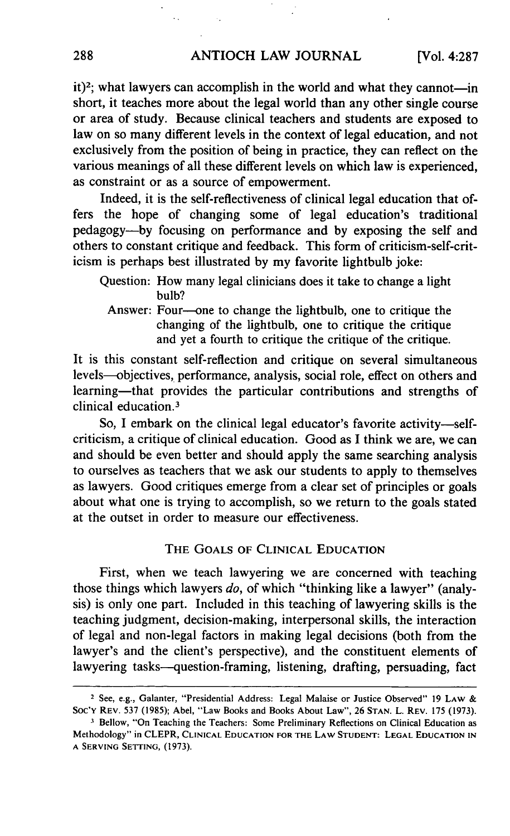$it$ <sup>2</sup>; what lawyers can accomplish in the world and what they cannot-in short, it teaches more about the legal world than any other single course or area of study. Because clinical teachers and students are exposed to law on so many different levels in the context of legal education, and not exclusively from the position of being in practice, they can reflect on the various meanings of all these different levels on which law is experienced, as constraint or as a source of empowerment.

Indeed, it is the self-reflectiveness of clinical legal education that offers the hope of changing some of legal education's traditional pedagogy-by focusing on performance and by exposing the self and others to constant critique and feedback. This form of criticism-self-criticism is perhaps best illustrated by my favorite lightbulb joke:

Answer: Four-one to change the lightbulb, one to critique the changing of the lightbulb, one to critique the critique and yet a fourth to critique the critique of the critique.

It is this constant self-reflection and critique on several simultaneous levels-objectives, performance, analysis, social role, effect on others and learning—that provides the particular contributions and strengths of clinical education. <sup>3</sup>

So, I embark on the clinical legal educator's favorite activity—selfcriticism, a critique of clinical education. Good as I think we are, we can and should be even better and should apply the same searching analysis to ourselves as teachers that we ask our students to apply to themselves as lawyers. Good critiques emerge from a clear set of principles or goals about what one is trying to accomplish, so we return to the goals stated at the outset in order to measure our effectiveness.

#### THE **GOALS** OF **CLINICAL EDUCATION**

First, when we teach lawyering we are concerned with teaching those things which lawyers *do,* of which "thinking like a lawyer" (analysis) is only one part. Included in this teaching of lawyering skills is the teaching judgment, decision-making, interpersonal skills, the interaction of legal and non-legal factors in making legal decisions (both from the lawyer's and the client's perspective), and the constituent elements of lawyering tasks-question-framing, listening, drafting, persuading, fact

Question: How many legal clinicians does it take to change a light bulb?

<sup>2</sup>See, e.g., Galanter, "Presidential Address: Legal Malaise or Justice Observed" 19 LAW **&** Soc'Y REV. 537 (1985); Abel, "Law Books and Books About Law", 26 STAN. L. REV. 175 (1973).

**<sup>3</sup>** Bellow, "On Teaching the Teachers: Some Preliminary Reflections on Clinical Education as Methodology" in CLEPR, **CLINICAL EDUCATION** FOR THE LAW **STUDENT: LEGAL EDUCATION IN A SERVING** SETTING, (1973).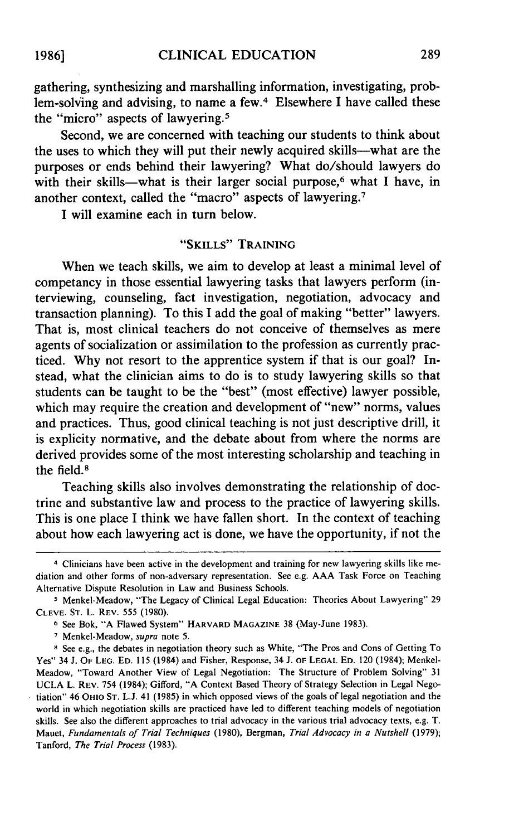gathering, synthesizing and marshalling information, investigating, problem-solving and advising, to name a few.<sup>4</sup> Elsewhere I have called these the "micro" aspects of lawyering. <sup>5</sup>

Second, we are concerned with teaching our students to think about the uses to which they will put their newly acquired skills-what are the purposes or ends behind their lawyering? What do/should lawyers do with their skills-what is their larger social purpose,<sup>6</sup> what I have, in another context, called the "macro" aspects of lawyering. <sup>7</sup>

I will examine each in turn below.

#### **"SKILLS"** TRAINING

When we teach skills, we aim to develop at least a minimal level of competancy in those essential lawyering tasks that lawyers perform (interviewing, counseling, fact investigation, negotiation, advocacy and transaction planning). To this I add the goal of making "better" lawyers. That is, most clinical teachers do not conceive of themselves as mere agents of socialization or assimilation to the profession as currently practiced. Why not resort to the apprentice system if that is our goal? Instead, what the clinician aims to do is to study lawyering skills so that students can be taught to be the "best" (most effective) lawyer possible, which may require the creation and development of "new" norms, values and practices. Thus, good clinical teaching is not just descriptive drill, it is explicity normative, and the debate about from where the norms are derived provides some of the most interesting scholarship and teaching in the field. <sup>8</sup>

Teaching skills also involves demonstrating the relationship of doctrine and substantive law and process to the practice of lawyering skills. This is one place I think we have fallen short. In the context of teaching about how each lawyering act is done, we have the opportunity, if not the

**1986]**

**<sup>4</sup>** Clinicians have been active in the development and training for new lawyering skills like mediation and other forms of non-adversary representation. See e.g. AAA Task Force on Teaching Alternative Dispute Resolution in Law and Business Schools.

**<sup>5</sup>** Menkel-Meadow, "The Legacy of Clinical Legal Education: Theories About Lawyering" 29 CLEVE. ST. L. REV. 555 (1980).

**<sup>6</sup>** See Bok, "A Flawed System" HARVARD **MAGAZINE** 38 (May-June 1983).

**<sup>7</sup>** Menkel-Meadow, *supra* note 5.

**<sup>8</sup>** See e.g., the debates in negotiation theory such as White, "The Pros and Cons of Getting To Yes" 34 J. OF **LEG. ED.** 115 (1984) and Fisher, Response, 34 J. OF **LEGAL ED.** 120 (1984); Menkel-Meadow, "Toward Another View of Legal Negotiation: The Structure of Problem Solving" 31 UCLA L. REV. 754 (1984); Gifford, "A Context Based Theory of Strategy Selection in Legal Negotiation" 46 OHIO **ST.** L.J. 41 (1985) in which opposed views of the goals of legal negotiation and the world in which negotiation skills are practiced have led to different teaching models of negotiation skills. See also the different approaches to trial advocacy in the various trial advocacy texts, e.g. T. Mauet, *Fundamentals of Trial Techniques* (1980), Bergman, Trial Advocacy in a Nutshell (1979); Tanford, The Trial Process (1983).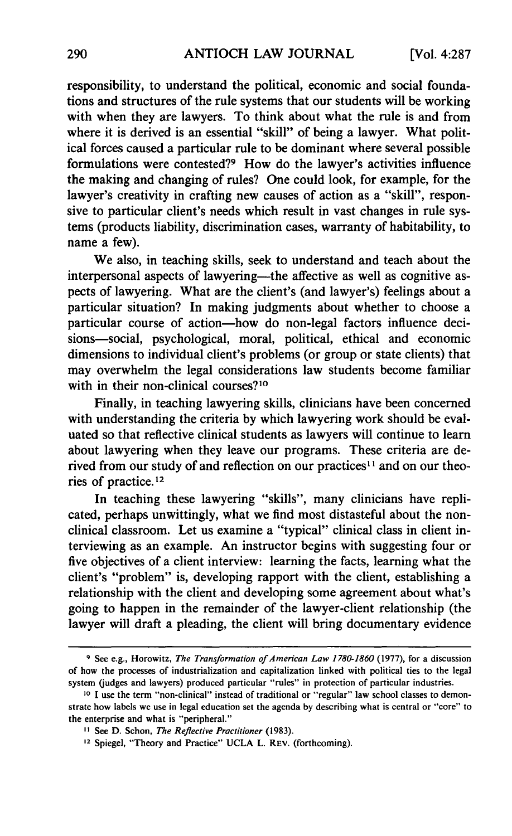responsibility, to understand the political, economic and social foundations and structures of the rule systems that our students will be working with when they are lawyers. To think about what the rule is and from where it is derived is an essential "skill" of being a lawyer. What political forces caused a particular rule to be dominant where several possible formulations were contested?9 How do the lawyer's activities influence the making and changing of rules? One could look, for example, for the lawyer's creativity in crafting new causes of action as a "skill", responsive to particular client's needs which result in vast changes in rule systems (products liability, discrimination cases, warranty of habitability, to name a few).

We also, in teaching skills, seek to understand and teach about the interpersonal aspects of lawyering—the affective as well as cognitive aspects of lawyering. What are the client's (and lawyer's) feelings about a particular situation? In making judgments about whether to choose a particular course of action-how do non-legal factors influence decisions-social, psychological, moral, political, ethical and economic dimensions to individual client's problems (or group or state clients) that may overwhelm the legal considerations law students become familiar with in their non-clinical courses?<sup>10</sup>

Finally, in teaching lawyering skills, clinicians have been concerned with understanding the criteria by which lawyering work should be evaluated so that reflective clinical students as lawyers will continue to learn about lawyering when they leave our programs. These criteria are derived from our study of and reflection on our practices<sup>11</sup> and on our theories of practice. 12

In teaching these lawyering "skills", many clinicians have replicated, perhaps unwittingly, what we find most distasteful about the nonclinical classroom. Let us examine a "typical" clinical class in client interviewing as an example. An instructor begins with suggesting four or five objectives of a client interview: learning the facts, learning what the client's "problem" is, developing rapport with the client, establishing a relationship with the client and developing some agreement about what's going to happen in the remainder of the lawyer-client relationship (the lawyer will draft a pleading, the client will bring documentary evidence

**<sup>9</sup>** See e.g., Horowitz, *The Transformation of American Law 1780-1860* (1977), for a discussion of how the processes of industrialization and capitalization linked with political ties to the legal system (judges and lawyers) produced particular "rules" in protection of particular industries.

**<sup>10</sup> 1** use the term "non-clinical" instead of traditional or "regular" law school classes to demonstrate how labels we use in legal education set the agenda by describing what is central or "core" to the enterprise and what is "peripheral."

**<sup>1</sup>** See D. Schon, *The Reflective Practitioner* (1983).

**<sup>12</sup>** Spiegel, "Theory and Practice" UCLA L. REV. (forthcoming).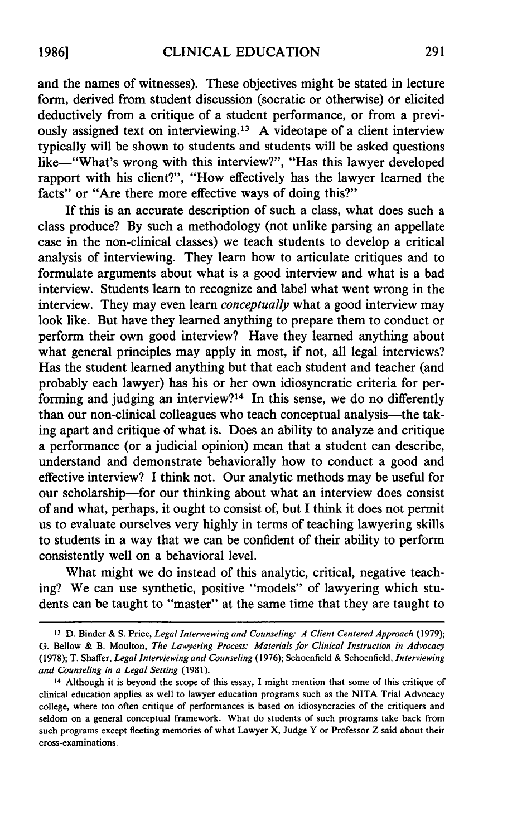and the names of witnesses). These objectives might be stated in lecture form, derived from student discussion (socratic or otherwise) or elicited deductively from a critique of a student performance, or from a previously assigned text on interviewing.<sup>13</sup> A videotape of a client interview typically will be shown to students and students will be asked questions like-"What's wrong with this interview?", "Has this lawyer developed rapport with his client?", "How effectively has the lawyer learned the facts" or "Are there more effective ways of doing this?"

If this is an accurate description of such a class, what does such a class produce? By such a methodology (not unlike parsing an appellate case in the non-clinical classes) we teach students to develop a critical analysis of interviewing. They learn how to articulate critiques and to formulate arguments about what is a good interview and what is a bad interview. Students learn to recognize and label what went wrong in the interview. They may even learn *conceptually* what a good interview may look like. But have they learned anything to prepare them to conduct or perform their own good interview? Have they learned anything about what general principles may apply in most, if not, all legal interviews? Has the student learned anything but that each student and teacher (and probably each lawyer) has his or her own idiosyncratic criteria for performing and judging an interview?<sup>14</sup> In this sense, we do no differently than our non-clinical colleagues who teach conceptual analysis-the taking apart and critique of what is. Does an ability to analyze and critique a performance (or a judicial opinion) mean that a student can describe, understand and demonstrate behaviorally how to conduct a good and effective interview? I think not. Our analytic methods may be useful for our scholarship-for our thinking about what an interview does consist of and what, perhaps, it ought to consist of, but I think it does not permit us to evaluate ourselves very highly in terms of teaching lawyering skills to students in a way that we can be confident of their ability to perform consistently well on a behavioral level.

What might we do instead of this analytic, critical, negative teaching? We can use synthetic, positive "models" of lawyering which students can be taught to "master" at the same time that they are taught to

**<sup>13</sup>** D. Binder & S. Price, *Legal Interviewing and Counseling: A Client Centered Approach* (1979); G. Bellow & B. Moulton, *The Lawyering Process: Materials for Clinical Instruction in Advocacy* (1978); T. Shaffer, *Legal Interviewing and Counseling* (1976); Schoenfield & Schoenfield, *Interviewing and Counseling in a Legal Setting* (1981).

<sup>14</sup> Although it is beyond the scope of this essay, I might mention that some of this critique of clinical education applies as well to lawyer education programs such as the NITA Trial Advocacy college, where too often critique of performances is based on idiosyncracies of the critiquers and seldom on a general conceptual framework. What do students of such programs take back from such programs except fleeting memories of what Lawyer X, Judge Y or Professor Z said about their cross-examinations.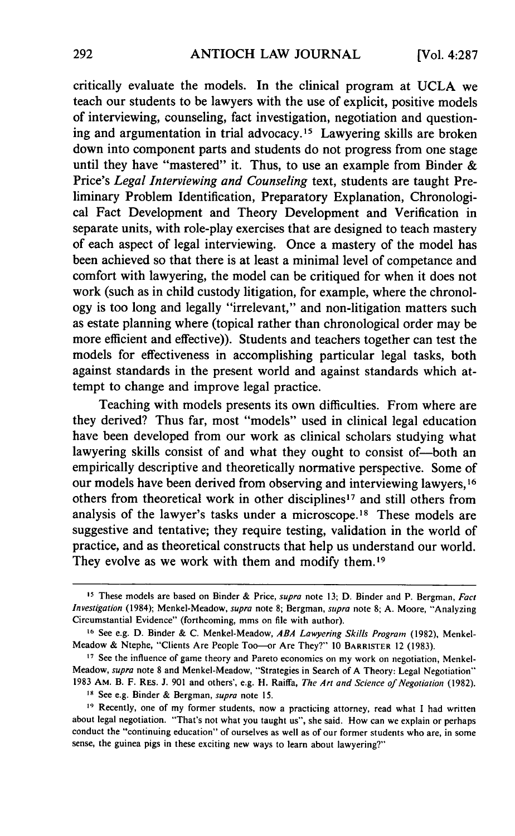critically evaluate the models. In the clinical program at UCLA we teach our students to be lawyers with the use of explicit, positive models of interviewing, counseling, fact investigation, negotiation and questioning and argumentation in trial advocacy.15 Lawyering skills are broken down into component parts and students do not progress from one stage until they have "mastered" it. Thus, to use an example from Binder  $\&$ Price's *Legal Interviewing and Counseling* text, students are taught Preliminary Problem Identification, Preparatory Explanation, Chronological Fact Development and Theory Development and Verification in separate units, with role-play exercises that are designed to teach mastery of each aspect of legal interviewing. Once a mastery of the model has been achieved so that there is at least a minimal level of competance and comfort with lawyering, the model can be critiqued for when it does not work (such as in child custody litigation, for example, where the chronology is too long and legally "irrelevant," and non-litigation matters such as estate planning where (topical rather than chronological order may be more efficient and effective)). Students and teachers together can test the models for effectiveness in accomplishing particular legal tasks, both against standards in the present world and against standards which attempt to change and improve legal practice.

Teaching with models presents its own difficulties. From where are they derived? Thus far, most "models" used in clinical legal education have been developed from our work as clinical scholars studying what lawyering skills consist of and what they ought to consist of-both an empirically descriptive and theoretically normative perspective. Some of our models have been derived from observing and interviewing lawyers, **1 6** others from theoretical work in other disciplines<sup>17</sup> and still others from analysis of the lawyer's tasks under a microscope.<sup>18</sup> These models are suggestive and tentative; they require testing, validation in the world of practice, and as theoretical constructs that help us understand our world. They evolve as we work with them and modify them.<sup>19</sup>

**IS** See e.g. Binder & Bergman, *supra* note 15.

**<sup>15</sup>** These models are based on Binder & Price, supra note 13; D. Binder and P. Bergman, *Fact Investigation* (1984); Menkel-Meadow, *supra* note 8; Bergman, *supra* note 8; **A.** Moore, "Analyzing Circumstantial Evidence" (forthcoming, mms on file with author).

**<sup>16</sup>** See e.g. D. Binder & C. MenkeI-Meadow, *ABA Lawyering Skills Program* (1982), Menkel-Meadow & Ntephe, "Clients Are People Too-or Are They?" 10 BARRISTER 12 (1983).

**<sup>17</sup>** See the influence of game theory and Pareto economics on my work on negotiation, Menkel-Meadow, *supra* note 8 and Menkel-Meadow, "Strategies in Search of A Theory: Legal Negotiation" 1983 AM. B. F. RES. J. 901 and others', e.g. H. Raiffa, *The Art and Science of Negotiation* (1982).

**<sup>19</sup>** Recently, one of my former students, now a practicing attorney, read what I had written about legal negotiation. "That's not what you taught us", she said. How can we explain or perhaps conduct the "continuing education" of ourselves as well as of our former students who are, in some sense, the guinea pigs in these exciting new ways to learn about lawyering?"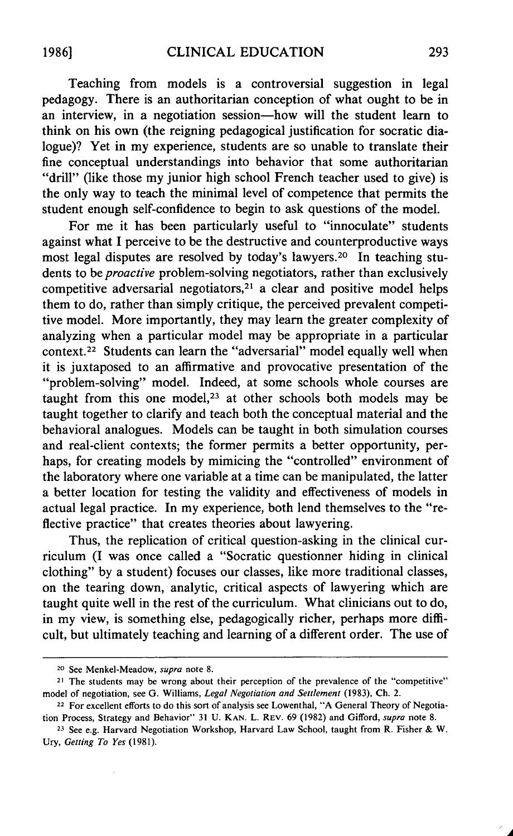Teaching from models is a controversial suggestion in legal pedagogy. There is an authoritarian conception of what ought to be in an interview, in a negotiation session-how will the student learn to think on his own (the reigning pedagogical justification for socratic dialogue)? Yet in my experience, students are so unable to translate their fine conceptual understandings into behavior that some authoritarian "drill" (like those my junior high school French teacher used to give) is the only way to teach the minimal level of competence that permits the student enough self-confidence to begin to ask questions of the model.

For me it has been particularly useful to "innoculate" students against what I perceive to be the destructive and counterproductive ways most legal disputes are resolved by today's lawyers. 20 In teaching students to be *proactive* problem-solving negotiators, rather than exclusively competitive adversarial negotiators, $21$  a clear and positive model helps them to do, rather than simply critique, the perceived prevalent competitive model. More importantly, they may learn the greater complexity of analyzing when a particular model may be appropriate in a particular context.22 Students can learn the "adversarial" model equally well when it is juxtaposed to an affirmative and provocative presentation of the "problem-solving" model. Indeed, at some schools whole courses are taught from this one model, $23$  at other schools both models may be taught together to clarify and teach both the conceptual material and the behavioral analogues. Models can be taught in both simulation courses and real-client contexts; the former permits a better opportunity, perhaps, for creating models by mimicing the "controlled" environment of the laboratory where one variable at a time can be manipulated, the latter a better location for testing the validity and effectiveness of models in actual legal practice. In my experience, both lend themselves to the "reflective practice" that creates theories about lawyering.

Thus, the replication of critical question-asking in the clinical curriculum (I was once called a "Socratic questionner hiding in clinical clothing" by a student) focuses our classes, like more traditional classes, on the tearing down, analytic, critical aspects of lawyering which are taught quite well in the rest of the curriculum. What clinicians out to do, in my view, is something else, pedagogically richer, perhaps more difficult, but ultimately teaching and learning of a different order. The use of

**<sup>20</sup>**See Menkel-Meadow, *supra* note 8.

<sup>&</sup>lt;sup>21</sup> The students may be wrong about their perception of the prevalence of the "competitive" model of negotiation, see **G.** Williams, *Legal Negotiation and Settlement* (1983), Ch. 2.

<sup>22</sup> For excellent efforts to do this sort of analysis see Lowenthal, **"A** General Theory of Negotiation Process, Strategy and Behavior" 31 U. KAN. L. REV. 69 (1982) and Gifford, *supra* note 8.

**<sup>23</sup>**See e.g. Harvard Negotiation Workshop, Harvard Law School, taught from R. Fisher & W. Ury, *Getting To Yes* (1981).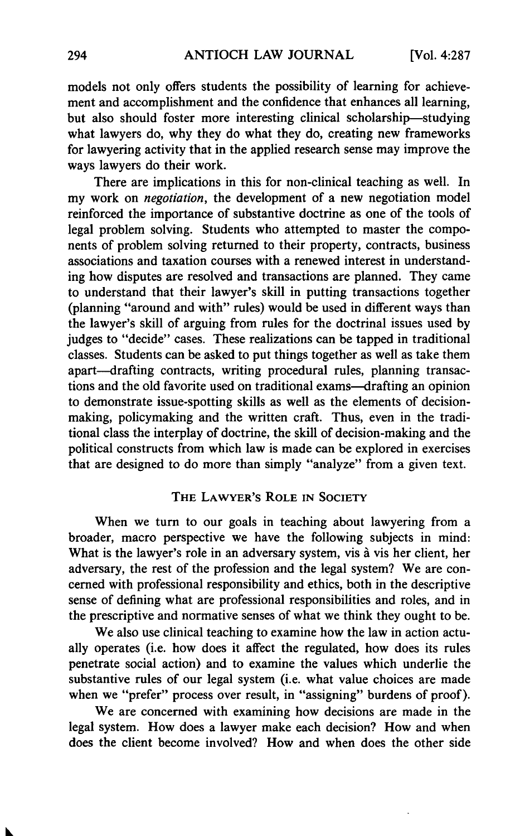models not only offers students the possibility of learning for achievement and accomplishment and the confidence that enhances all learning, but also should foster more interesting clinical scholarship-studying what lawyers do, why they do what they do, creating new frameworks for lawyering activity that in the applied research sense may improve the ways lawyers do their work.

There are implications in this for non-clinical teaching as well. In my work on *negotiation,* the development of a new negotiation model reinforced the importance of substantive doctrine as one of the tools of legal problem solving. Students who attempted to master the components of problem solving returned to their property, contracts, business associations and taxation courses with a renewed interest in understanding how disputes are resolved and transactions are planned. They came to understand that their lawyer's skill in putting transactions together (planning "around and with" rules) would be used in different ways than the lawyer's skill of arguing from rules for the doctrinal issues used by judges to "decide" cases. These realizations can be tapped in traditional classes. Students can be asked to put things together as well as take them apart-drafting contracts, writing procedural rules, planning transactions and the old favorite used on traditional exams-drafting an opinion to demonstrate issue-spotting skills as well as the elements of decisionmaking, policymaking and the written craft. Thus, even in the traditional class the interplay of doctrine, the skill of decision-making and the political constructs from which law is made can be explored in exercises that are designed to do more than simply "analyze" from a given text.

#### THE LAWYER'S ROLE IN SOCIETY

When we turn to our goals in teaching about lawyering from a broader, macro perspective we have the following subjects in mind: What is the lawyer's role in an adversary system, vis à vis her client, her adversary, the rest of the profession and the legal system? We are concerned with professional responsibility and ethics, both in the descriptive sense of defining what are professional responsibilities and roles, and in the prescriptive and normative senses of what we think they ought to be.

We also use clinical teaching to examine how the law in action actually operates (i.e. how does it affect the regulated, how does its rules penetrate social action) and to examine the values which underlie the substantive rules of our legal system (i.e. what value choices are made when we "prefer" process over result, in "assigning" burdens of proof).

We are concerned with examining how decisions are made in the legal system. How does a lawyer make each decision? How and when does the client become involved? How and when does the other side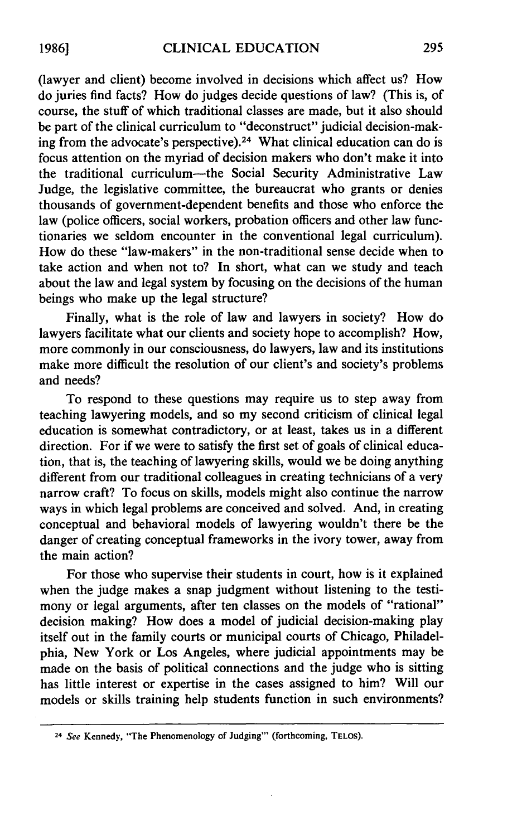(lawyer and client) become involved in decisions which affect us? How do juries find facts? How do judges decide questions of law? (This is, of course, the stuff of which traditional classes are made, but it also should be part of the clinical curriculum to "deconstruct" judicial decision-making from the advocate's perspective).<sup>24</sup> What clinical education can do is focus attention on the myriad of decision makers who don't make it into the traditional curriculum-the Social Security Administrative Law Judge, the legislative committee, the bureaucrat who grants or denies thousands of government-dependent benefits and those who enforce the law (police officers, social workers, probation officers and other law functionaries we seldom encounter in the conventional legal curriculum). How do these "law-makers" in the non-traditional sense decide when to take action and when not to? In short, what can we study and teach about the law and legal system by focusing on the decisions of the human beings who make up the legal structure?

Finally, what is the role of law and lawyers in society? How do lawyers facilitate what our clients and society hope to accomplish? How, more commonly in our consciousness, do lawyers, law and its institutions make more difficult the resolution of our client's and society's problems and needs?

To respond to these questions may require us to step away from teaching lawyering models, and so my second criticism of clinical legal education is somewhat contradictory, or at least, takes us in a different direction. For if we were to satisfy the first set of goals of clinical education, that is, the teaching of lawyering skills, would we be doing anything different from our traditional colleagues in creating technicians of a very narrow craft? To focus on skills, models might also continue the narrow ways in which legal problems are conceived and solved. And, in creating conceptual and behavioral models of lawyering wouldn't there be the danger of creating conceptual frameworks in the ivory tower, away from the main action?

For those who supervise their students in court, how is it explained when the judge makes a snap judgment without listening to the testimony or legal arguments, after ten classes on the models of "rational" decision making? How does a model of judicial decision-making play itself out in the family courts or municipal courts of Chicago, Philadelphia, New York or Los Angeles, where judicial appointments may be made on the basis of political connections and the judge who is sitting has little interest or expertise in the cases assigned to him? Will our models or skills training help students function in such environments?

<sup>&</sup>lt;sup>24</sup> See Kennedy, "The Phenomenology of Judging"' (forthcoming, TELOS).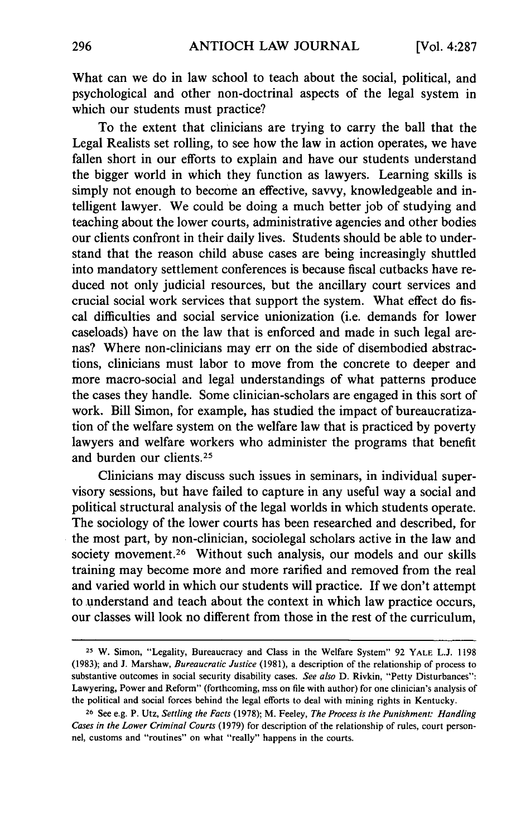What can we do in law school to teach about the social, political, and psychological and other non-doctrinal aspects of the legal system in which our students must practice?

To the extent that clinicians are trying to carry the ball that the Legal Realists set rolling, to see how the law in action operates, we have fallen short in our efforts to explain and have our students understand the bigger world in which they function as lawyers. Learning skills is simply not enough to become an effective, savvy, knowledgeable and intelligent lawyer. We could be doing a much better job of studying and teaching about the lower courts, administrative agencies and other bodies our clients confront in their daily lives. Students should be able to understand that the reason child abuse cases are being increasingly shuttled into mandatory settlement conferences is because fiscal cutbacks have reduced not only judicial resources, but the ancillary court services and crucial social work services that support the system. What effect do fiscal difficulties and social service unionization (i.e. demands for lower caseloads) have on the law that is enforced and made in such legal arenas? Where non-clinicians may err on the side of disembodied abstractions, clinicians must labor to move from the concrete to deeper and more macro-social and legal understandings of what patterns produce the cases they handle. Some clinician-scholars are engaged in this sort of work. Bill Simon, for example, has studied the impact of bureaucratization of the welfare system on the welfare law that is practiced by poverty lawyers and welfare workers who administer the programs that benefit and burden our clients.<sup>25</sup>

Clinicians may discuss such issues in seminars, in individual supervisory sessions, but have failed to capture in any useful way a social and political structural analysis of the legal worlds in which students operate. The sociology of the lower courts has been researched and described, for the most part, by non-clinician, sociolegal scholars active in the law and society movement.<sup>26</sup> Without such analysis, our models and our skills training may become more and more rarified and removed from the real and varied world in which our students will practice. If we don't attempt to understand and teach about the context in which law practice occurs, our classes will look no different from those in the rest of the curriculum,

**<sup>25</sup>** W. Simon, "Legality, Bureaucracy and Class in the Welfare System" 92 YALE L.J. 1198 (1983); and J. Marshaw, *Bureaucratic Justice* (1981), a description of the relationship of process to substantive outcomes in social security disability cases. *See also* D. Rivkin, "Petty Disturbances": Lawyering, Power and Reform" (forthcoming, mss on file with author) for one clinician's analysis of the political and social forces behind the legal efforts to deal with mining rights in Kentucky.

**<sup>26</sup>**See e.g. P. Utz, *Settling the Facts* (1978); M. Feeley, *The Process is the Punishment: Handling Cases in the Lower Criminal Courts* (1979) for description of the relationship of rules, court personnel, customs and "routines" on what "really" happens in the courts.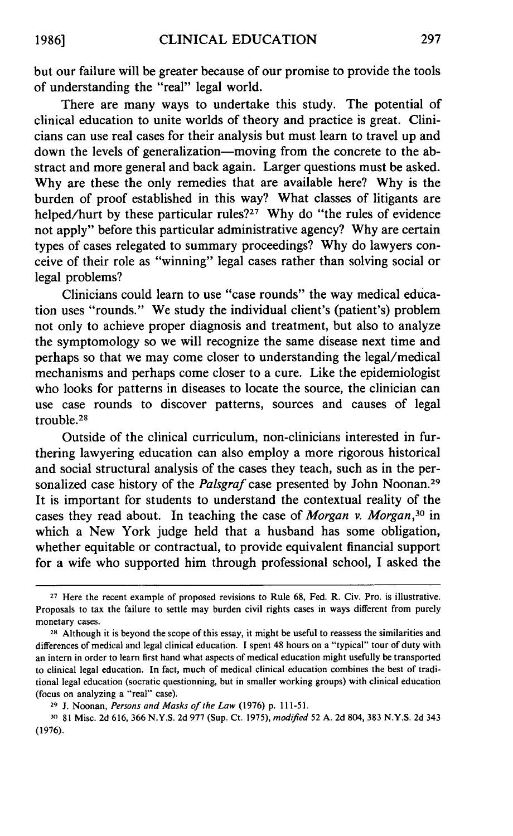but our failure will be greater because of our promise to provide the tools of understanding the "real" legal world.

There are many ways to undertake this study. The potential of clinical education to unite worlds of theory and practice is great. Clinicians can use real cases for their analysis but must learn to travel up and down the levels of generalization--moving from the concrete to the abstract and more general and back again. Larger questions must be asked. Why are these the only remedies that are available here? Why is the burden of proof established in this way? What classes of litigants are helped/hurt by these particular rules?<sup>27</sup> Why do "the rules of evidence" not apply" before this particular administrative agency? Why are certain types of cases relegated to summary proceedings? Why do lawyers conceive of their role as "winning" legal cases rather than solving social or legal problems?

Clinicians could learn to use "case rounds" the way medical education uses "rounds." We study the individual client's (patient's) problem not only to achieve proper diagnosis and treatment, but also to analyze the symptomology so we will recognize the same disease next time and perhaps so that we may come closer to understanding the legal/medical mechanisms and perhaps come closer to a cure. Like the epidemiologist who looks for patterns in diseases to locate the source, the clinician can use case rounds to discover patterns, sources and causes of legal trouble. <sup>28</sup>

Outside of the clinical curriculum, non-clinicians interested in furthering lawyering education can also employ a more rigorous historical and social structural analysis of the cases they teach, such as in the personalized case history of the *Palsgraf* case presented by John Noonan.<sup>29</sup> It is important for students to understand the contextual reality of the cases they read about. In teaching the case of *Morgan v. Morgan,30* in which a New York judge held that a husband has some obligation, whether equitable or contractual, to provide equivalent financial support for a wife who supported him through professional school, I asked the

**<sup>30</sup>**81 Misc. 2d 616, 366 N.Y.S. 2d 977 (Sup. Ct. 1975), *modified* 52 A. 2d 804, 383 N.Y.S. 2d 343 (1976).

**<sup>27</sup>**Here the recent example of proposed revisions to Rule 68, Fed. R. Civ. Pro. is illustrative. Proposals to tax the failure to settle may burden civil rights cases in ways different from purely monetary cases.

**<sup>28</sup>**Although it is beyond the scope of this essay, it might be useful to reassess the similarities and differences of medical and legal clinical education. I spent 48 hours on a "typical" tour of duty with an intern in order to learn first hand what aspects of medical education might usefully be transported to clinical legal education. In fact, much of medical clinical education combines the best of traditional legal education (socratic questionning, but in smaller working groups) with clinical education (focus on analyzing a "real" case).

**<sup>29</sup>J.** Noonan, *Persons and Masks of the Law* (1976) p. 111-51.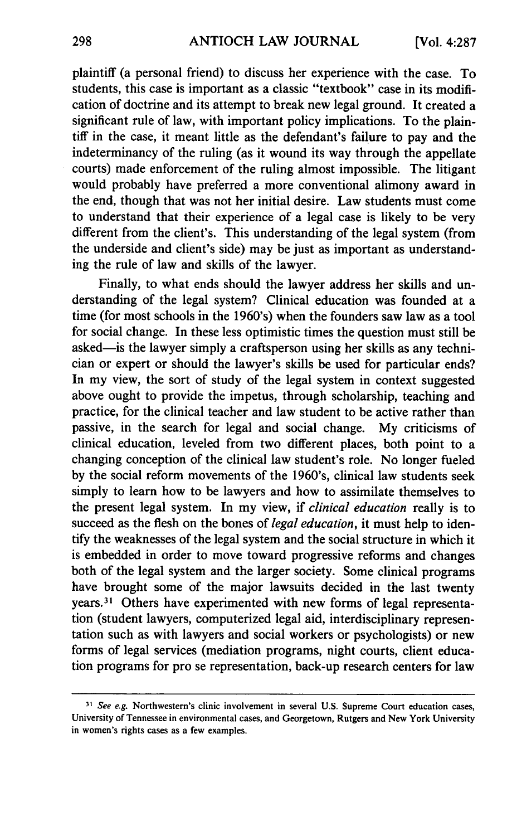plaintiff (a personal friend) to discuss her experience with the case. To students, this case is important as a classic "textbook" case in its modification of doctrine and its attempt to break new legal ground. It created a significant rule of law, with important policy implications. To the plaintiff in the case, it meant little as the defendant's failure to pay and the indeterminancy of the ruling (as it wound its way through the appellate courts) made enforcement of the ruling almost impossible. The litigant would probably have preferred a more conventional alimony award in the end, though that was not her initial desire. Law students must come to understand that their experience of a legal case is likely to be very different from the client's. This understanding of the legal system (from the underside and client's side) may be just as important as understanding the rule of law and skills of the lawyer.

Finally, to what ends should the lawyer address her skills and understanding of the legal system? Clinical education was founded at a time (for most schools in the 1960's) when the founders saw law as a tool for social change. In these less optimistic times the question must still be asked-is the lawyer simply a craftsperson using her skills as any technician or expert or should the lawyer's skills be used for particular ends? In my view, the sort of study of the legal system in context suggested above ought to provide the impetus, through scholarship, teaching and practice, for the clinical teacher and law student to be active rather than passive, in the search for legal and social change. My criticisms of clinical education, leveled from two different places, both point to a changing conception of the clinical law student's role. No longer fueled by the social reform movements of the 1960's, clinical law students seek simply to learn how to be lawyers and how to assimilate themselves to the present legal system. In my view, if *clinical education* really is to succeed as the flesh on the bones of *legal education,* it must help to identify the weaknesses of the legal system and the social structure in which it is embedded in order to move toward progressive reforms and changes both of the legal system and the larger society. Some clinical programs have brought some of the major lawsuits decided in the last twenty years.3' Others have experimented with new forms of legal representation (student lawyers, computerized legal aid, interdisciplinary representation such as with lawyers and social workers or psychologists) or new forms of legal services (mediation programs, night courts, client education programs for pro se representation, back-up research centers for law

*<sup>31</sup>*See e.g. Northwestern's clinic involvement in several **U.S.** Supreme Court education cases, University of Tennessee in environmental cases, and Georgetown, Rutgers and New York University in women's rights cases as a few examples.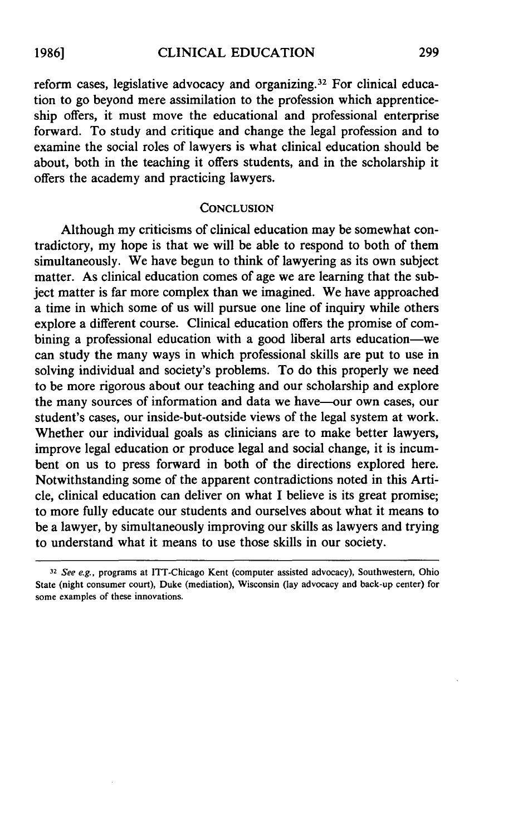reform cases, legislative advocacy and organizing.<sup>32</sup> For clinical education to go beyond mere assimilation to the profession which apprenticeship offers, it must move the educational and professional enterprise forward. To study and critique and change the legal profession and to examine the social roles of lawyers is what clinical education should be about, both in the teaching it offers students, and in the scholarship it offers the academy and practicing lawyers.

#### **CONCLUSION**

Although my criticisms of clinical education may be somewhat contradictory, my hope is that we will be able to respond to both of them simultaneously. We have begun to think of lawyering as its own subject matter. As clinical education comes of age we are learning that the subject matter is far more complex than we imagined. We have approached a time in which some of us will pursue one line of inquiry while others explore a different course. Clinical education offers the promise of combining a professional education with a good liberal arts education-we can study the many ways in which professional skills are put to use in solving individual and society's problems. To do this properly we need to be more rigorous about our teaching and our scholarship and explore the many sources of information and data we have-our own cases, our student's cases, our inside-but-outside views of the legal system at work. Whether our individual goals as clinicians are to make better lawyers, improve legal education or produce legal and social change, it is incumbent on us to press forward in both of the directions explored here. Notwithstanding some of the apparent contradictions noted in this Article, clinical education can deliver on what I believe is its great promise; to more fully educate our students and ourselves about what it means to be a lawyer, by simultaneously improving our skills as lawyers and trying to understand what it means to use those skills in our society.

**<sup>32</sup>** See e.g., programs at ITT-Chicago Kent (computer assisted advocacy), Southwestern, Ohio State (night consumer court), Duke (mediation), Wisconsin (lay advocacy and back-up center) for some examples of these innovations.